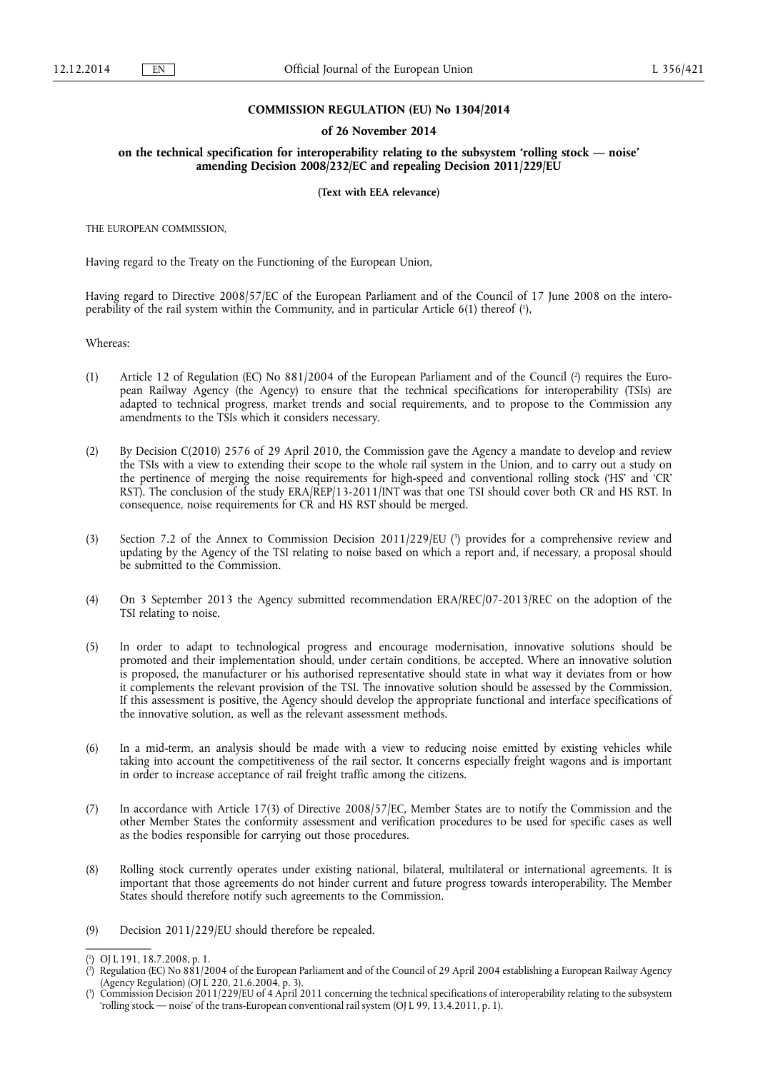#### **COMMISSION REGULATION (EU) No 1304/2014**

#### **of 26 November 2014**

**on the technical specification for interoperability relating to the subsystem 'rolling stock — noise' amending Decision 2008/232/EC and repealing Decision 2011/229/EU** 

#### **(Text with EEA relevance)**

THE EUROPEAN COMMISSION,

Having regard to the Treaty on the Functioning of the European Union,

Having regard to Directive 2008/57/EC of the European Parliament and of the Council of 17 June 2008 on the interoperability of the rail system within the Community, and in particular Article 6(1) thereof (1),

Whereas:

- (1) Article 12 of Regulation (EC) No  $881/2004$  of the European Parliament and of the Council (?) requires the European Railway Agency (the Agency) to ensure that the technical specifications for interoperability (TSIs) are adapted to technical progress, market trends and social requirements, and to propose to the Commission any amendments to the TSIs which it considers necessary.
- (2) By Decision C(2010) 2576 of 29 April 2010, the Commission gave the Agency a mandate to develop and review the TSIs with a view to extending their scope to the whole rail system in the Union, and to carry out a study on the pertinence of merging the noise requirements for high-speed and conventional rolling stock ('HS' and 'CR' RST). The conclusion of the study ERA/REP/13-2011/INT was that one TSI should cover both CR and HS RST. In consequence, noise requirements for CR and HS RST should be merged.
- (3) Section 7.2 of the Annex to Commission Decision 2011/229/EU (3) provides for a comprehensive review and updating by the Agency of the TSI relating to noise based on which a report and, if necessary, a proposal should be submitted to the Commission.
- (4) On 3 September 2013 the Agency submitted recommendation ERA/REC/07-2013/REC on the adoption of the TSI relating to noise.
- (5) In order to adapt to technological progress and encourage modernisation, innovative solutions should be promoted and their implementation should, under certain conditions, be accepted. Where an innovative solution is proposed, the manufacturer or his authorised representative should state in what way it deviates from or how it complements the relevant provision of the TSI. The innovative solution should be assessed by the Commission. If this assessment is positive, the Agency should develop the appropriate functional and interface specifications of the innovative solution, as well as the relevant assessment methods.
- (6) In a mid-term, an analysis should be made with a view to reducing noise emitted by existing vehicles while taking into account the competitiveness of the rail sector. It concerns especially freight wagons and is important in order to increase acceptance of rail freight traffic among the citizens.
- (7) In accordance with Article 17(3) of Directive 2008/57/EC, Member States are to notify the Commission and the other Member States the conformity assessment and verification procedures to be used for specific cases as well as the bodies responsible for carrying out those procedures.
- (8) Rolling stock currently operates under existing national, bilateral, multilateral or international agreements. It is important that those agreements do not hinder current and future progress towards interoperability. The Member States should therefore notify such agreements to the Commission.
- (9) Decision 2011/229/EU should therefore be repealed.

<sup>(</sup> 1 ) OJ L 191, 18.7.2008, p. 1.

<sup>(</sup> 2 ) Regulation (EC) No 881/2004 of the European Parliament and of the Council of 29 April 2004 establishing a European Railway Agency (Agency Regulation) (OJ L 220, 21.6.2004, p. 3).

<sup>(</sup> 3 ) Commission Decision 2011/229/EU of 4 April 2011 concerning the technical specifications of interoperability relating to the subsystem 'rolling stock — noise' of the trans-European conventional rail system (OJ L 99, 13.4.2011, p. 1).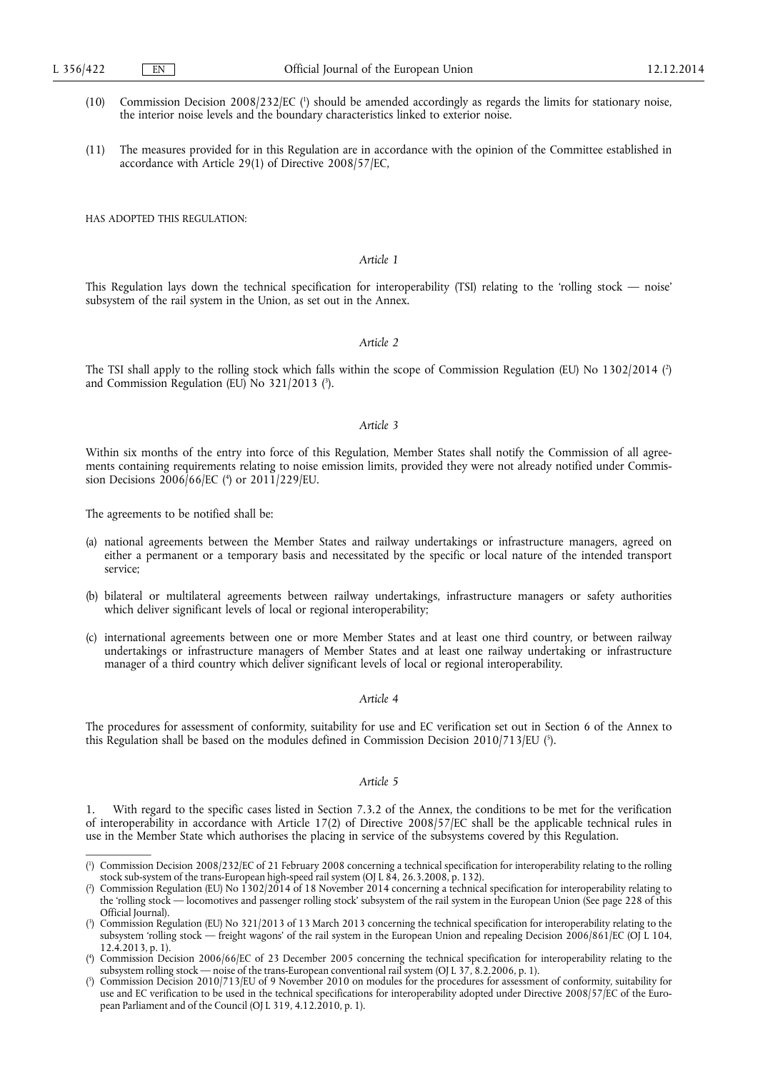- (10) Commission Decision 2008/232/EC ( 1 ) should be amended accordingly as regards the limits for stationary noise, the interior noise levels and the boundary characteristics linked to exterior noise.
- (11) The measures provided for in this Regulation are in accordance with the opinion of the Committee established in accordance with Article 29(1) of Directive 2008/57/EC,

HAS ADOPTED THIS REGULATION:

### *Article 1*

This Regulation lays down the technical specification for interoperability (TSI) relating to the 'rolling stock — noise' subsystem of the rail system in the Union, as set out in the Annex.

#### *Article 2*

The TSI shall apply to the rolling stock which falls within the scope of Commission Regulation (EU) No 1302/2014 ( 2 ) and Commission Regulation (EU) No 321/2013 ( 3 ).

#### *Article 3*

Within six months of the entry into force of this Regulation, Member States shall notify the Commission of all agreements containing requirements relating to noise emission limits, provided they were not already notified under Commission Decisions 2006/66/EC ( 4 ) or 2011/229/EU.

The agreements to be notified shall be:

- (a) national agreements between the Member States and railway undertakings or infrastructure managers, agreed on either a permanent or a temporary basis and necessitated by the specific or local nature of the intended transport service;
- (b) bilateral or multilateral agreements between railway undertakings, infrastructure managers or safety authorities which deliver significant levels of local or regional interoperability;
- (c) international agreements between one or more Member States and at least one third country, or between railway undertakings or infrastructure managers of Member States and at least one railway undertaking or infrastructure manager of a third country which deliver significant levels of local or regional interoperability.

#### *Article 4*

The procedures for assessment of conformity, suitability for use and EC verification set out in Section 6 of the Annex to this Regulation shall be based on the modules defined in Commission Decision 2010/713/EU ( 5 ).

#### *Article 5*

With regard to the specific cases listed in Section 7.3.2 of the Annex, the conditions to be met for the verification of interoperability in accordance with Article 17(2) of Directive 2008/57/EC shall be the applicable technical rules in use in the Member State which authorises the placing in service of the subsystems covered by this Regulation.

<sup>(</sup> 1 ) Commission Decision 2008/232/EC of 21 February 2008 concerning a technical specification for interoperability relating to the rolling stock sub-system of the trans-European high-speed rail system (OJ L 84, 26.3.2008, p. 132).

<sup>(</sup> 2 ) Commission Regulation (EU) No 1302/2014 of 18 November 2014 concerning a technical specification for interoperability relating to the 'rolling stock — locomotives and passenger rolling stock' subsystem of the rail system in the European Union (See page 228 of this Official Journal).

<sup>(</sup> 3 ) Commission Regulation (EU) No 321/2013 of 13 March 2013 concerning the technical specification for interoperability relating to the subsystem 'rolling stock — freight wagons' of the rail system in the European Union and repealing Decision 2006/861/EC (OJ L 104, 12.4.2013, p. 1).

<sup>(</sup> 4 ) Commission Decision 2006/66/EC of 23 December 2005 concerning the technical specification for interoperability relating to the subsystem rolling stock — noise of the trans-European conventional rail system (OJ L 37, 8.2.2006, p. 1).

<sup>(</sup> 5 ) Commission Decision 2010/713/EU of 9 November 2010 on modules for the procedures for assessment of conformity, suitability for use and EC verification to be used in the technical specifications for interoperability adopted under Directive 2008/57/EC of the European Parliament and of the Council (OJ L 319, 4.12.2010, p. 1).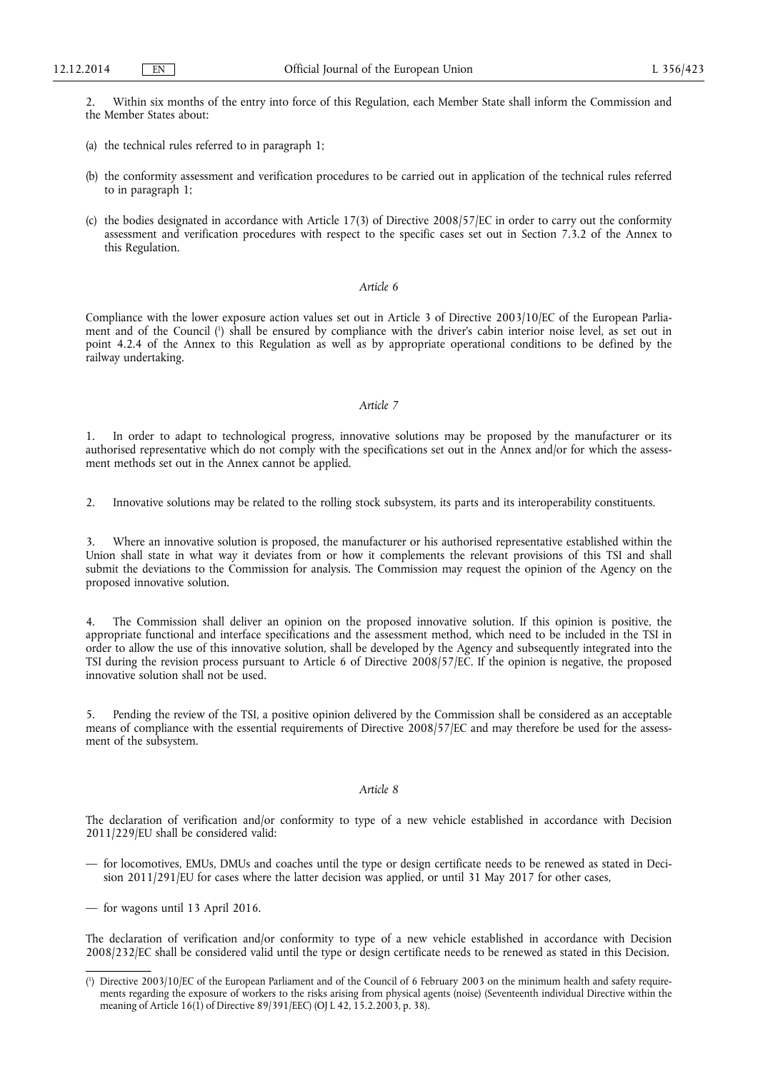2. Within six months of the entry into force of this Regulation, each Member State shall inform the Commission and the Member States about:

- (a) the technical rules referred to in paragraph 1;
- (b) the conformity assessment and verification procedures to be carried out in application of the technical rules referred to in paragraph 1;
- (c) the bodies designated in accordance with Article 17(3) of Directive 2008/57/EC in order to carry out the conformity assessment and verification procedures with respect to the specific cases set out in Section 7.3.2 of the Annex to this Regulation.

## *Article 6*

Compliance with the lower exposure action values set out in Article 3 of Directive 2003/10/EC of the European Parliament and of the Council ( 1 ) shall be ensured by compliance with the driver's cabin interior noise level, as set out in point 4.2.4 of the Annex to this Regulation as well as by appropriate operational conditions to be defined by the railway undertaking.

#### *Article 7*

1. In order to adapt to technological progress, innovative solutions may be proposed by the manufacturer or its authorised representative which do not comply with the specifications set out in the Annex and/or for which the assessment methods set out in the Annex cannot be applied.

2. Innovative solutions may be related to the rolling stock subsystem, its parts and its interoperability constituents.

3. Where an innovative solution is proposed, the manufacturer or his authorised representative established within the Union shall state in what way it deviates from or how it complements the relevant provisions of this TSI and shall submit the deviations to the Commission for analysis. The Commission may request the opinion of the Agency on the proposed innovative solution.

4. The Commission shall deliver an opinion on the proposed innovative solution. If this opinion is positive, the appropriate functional and interface specifications and the assessment method, which need to be included in the TSI in order to allow the use of this innovative solution, shall be developed by the Agency and subsequently integrated into the TSI during the revision process pursuant to Article 6 of Directive 2008/57/EC. If the opinion is negative, the proposed innovative solution shall not be used.

5. Pending the review of the TSI, a positive opinion delivered by the Commission shall be considered as an acceptable means of compliance with the essential requirements of Directive 2008/57/EC and may therefore be used for the assessment of the subsystem.

#### *Article 8*

The declaration of verification and/or conformity to type of a new vehicle established in accordance with Decision 2011/229/EU shall be considered valid:

- for locomotives, EMUs, DMUs and coaches until the type or design certificate needs to be renewed as stated in Decision 2011/291/EU for cases where the latter decision was applied, or until 31 May 2017 for other cases,
- for wagons until 13 April 2016.

The declaration of verification and/or conformity to type of a new vehicle established in accordance with Decision 2008/232/EC shall be considered valid until the type or design certificate needs to be renewed as stated in this Decision.

<sup>(</sup> 1 ) Directive 2003/10/EC of the European Parliament and of the Council of 6 February 2003 on the minimum health and safety requirements regarding the exposure of workers to the risks arising from physical agents (noise) (Seventeenth individual Directive within the meaning of Article 16(1) of Directive 89/391/EEC) (OJ L 42, 15.2.2003, p. 38).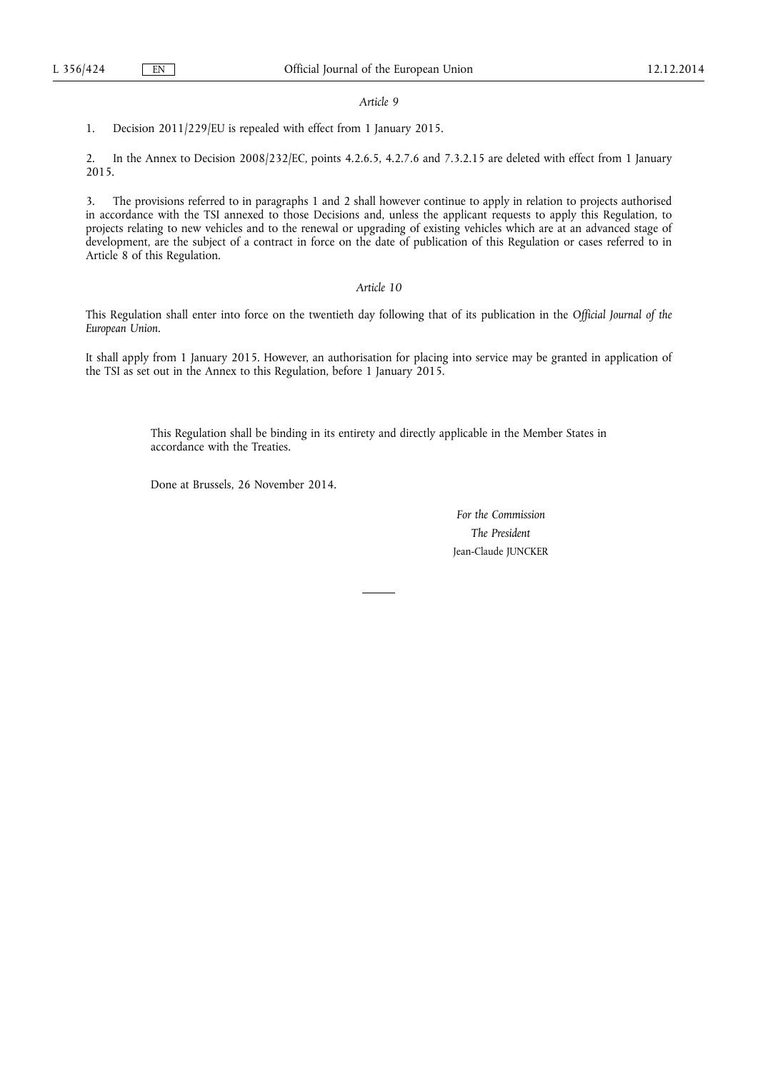#### *Article 9*

1. Decision 2011/229/EU is repealed with effect from 1 January 2015.

2. In the Annex to Decision 2008/232/EC, points 4.2.6.5, 4.2.7.6 and 7.3.2.15 are deleted with effect from 1 January 2015.

3. The provisions referred to in paragraphs 1 and 2 shall however continue to apply in relation to projects authorised in accordance with the TSI annexed to those Decisions and, unless the applicant requests to apply this Regulation, to projects relating to new vehicles and to the renewal or upgrading of existing vehicles which are at an advanced stage of development, are the subject of a contract in force on the date of publication of this Regulation or cases referred to in Article 8 of this Regulation.

#### *Article 10*

This Regulation shall enter into force on the twentieth day following that of its publication in the *Official Journal of the European Union*.

It shall apply from 1 January 2015. However, an authorisation for placing into service may be granted in application of the TSI as set out in the Annex to this Regulation, before 1 January 2015.

> This Regulation shall be binding in its entirety and directly applicable in the Member States in accordance with the Treaties.

Done at Brussels, 26 November 2014.

*For the Commission The President*  Jean-Claude JUNCKER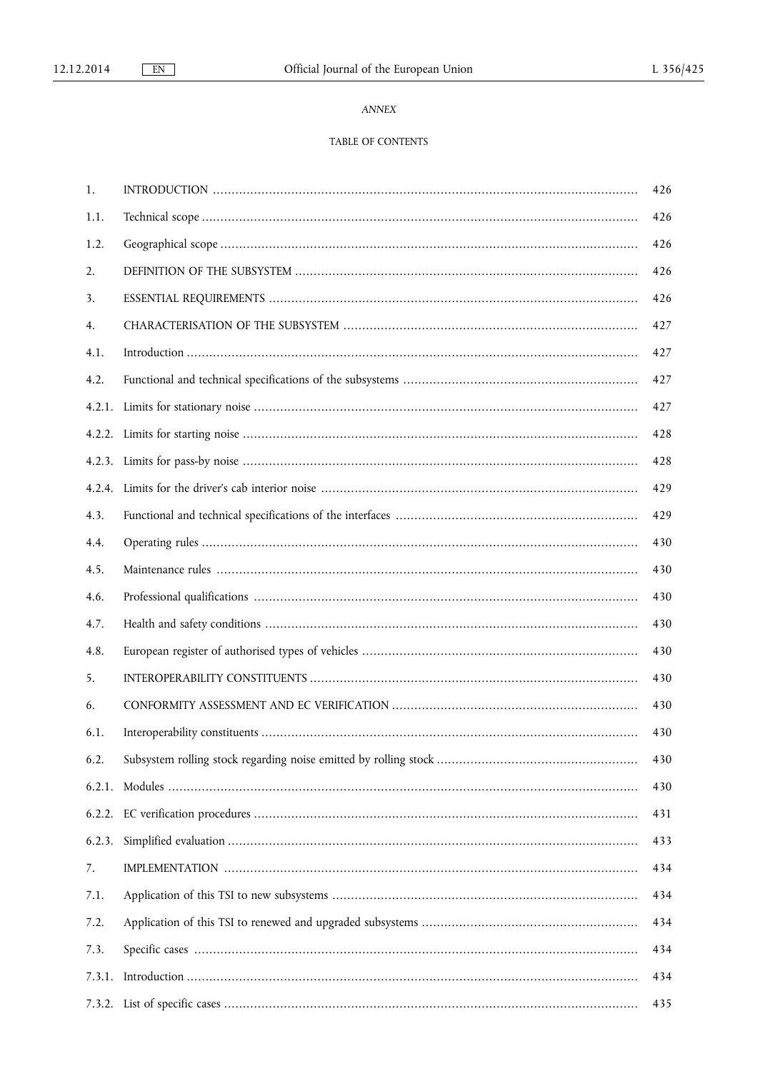## ANNEX

## TABLE OF CONTENTS

| 1.     | 426 |
|--------|-----|
| 1.1.   | 426 |
| 1.2.   | 426 |
| 2.     | 426 |
| 3.     | 426 |
| 4.     | 427 |
| 4.1.   | 427 |
| 4.2.   | 427 |
|        | 427 |
|        | 428 |
|        | 428 |
|        | 429 |
| 4.3.   | 429 |
| 4.4.   | 430 |
| 4.5.   | 430 |
| 4.6.   | 430 |
| 4.7.   | 430 |
| 4.8.   | 430 |
| 5.     | 430 |
| 6.     | 430 |
| 6.1.   | 430 |
| 6.2.   | 430 |
| 6.2.1. | 430 |
|        | 431 |
| 6.2.3. | 433 |
| 7.     | 434 |
| 7.1.   | 434 |
| 7.2.   | 434 |
| 7.3.   | 434 |
| 7.3.1. | 434 |
|        | 435 |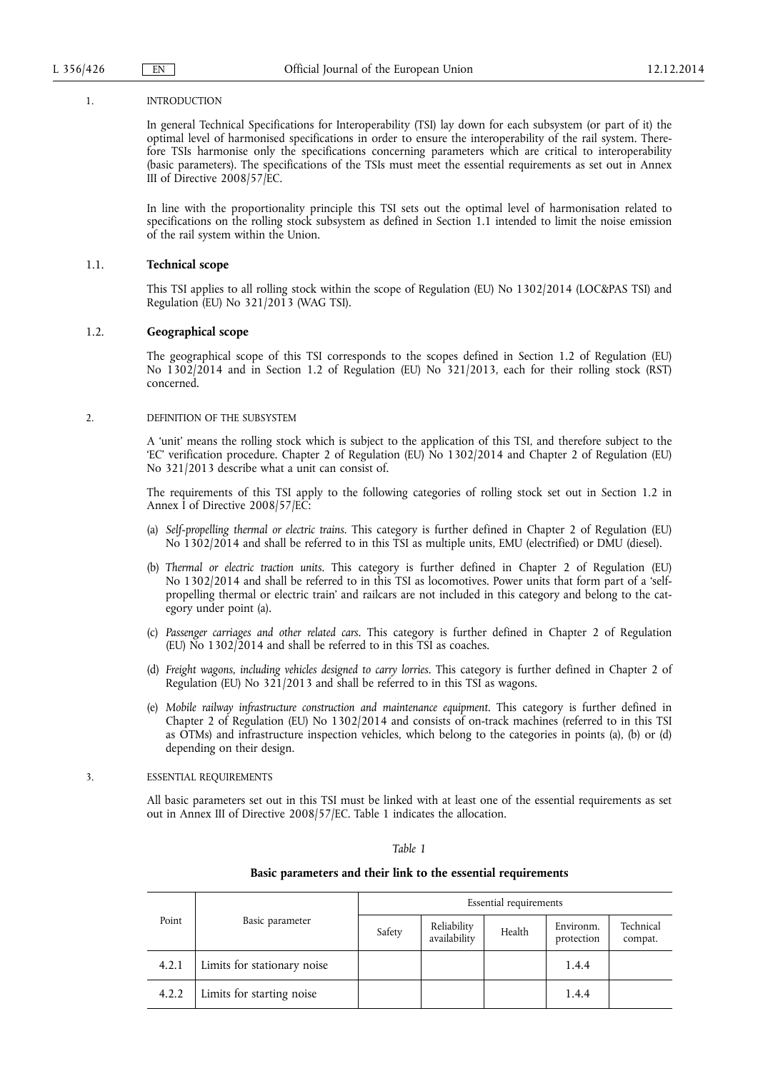#### 1. INTRODUCTION

In general Technical Specifications for Interoperability (TSI) lay down for each subsystem (or part of it) the optimal level of harmonised specifications in order to ensure the interoperability of the rail system. Therefore TSIs harmonise only the specifications concerning parameters which are critical to interoperability (basic parameters). The specifications of the TSIs must meet the essential requirements as set out in Annex III of Directive 2008/57/EC.

In line with the proportionality principle this TSI sets out the optimal level of harmonisation related to specifications on the rolling stock subsystem as defined in Section 1.1 intended to limit the noise emission of the rail system within the Union.

#### 1.1. **Technical scope**

This TSI applies to all rolling stock within the scope of Regulation (EU) No 1302/2014 (LOC&PAS TSI) and Regulation (EU) No 321/2013 (WAG TSI).

#### 1.2. **Geographical scope**

The geographical scope of this TSI corresponds to the scopes defined in Section 1.2 of Regulation (EU) No 1302/2014 and in Section 1.2 of Regulation (EU) No 321/2013, each for their rolling stock (RST) concerned.

#### 2. DEFINITION OF THE SUBSYSTEM

A 'unit' means the rolling stock which is subject to the application of this TSI, and therefore subject to the 'EC' verification procedure. Chapter 2 of Regulation (EU) No 1302/2014 and Chapter 2 of Regulation (EU) No 321/2013 describe what a unit can consist of.

The requirements of this TSI apply to the following categories of rolling stock set out in Section 1.2 in Annex I of Directive 2008/57/EC:

- (a) *Self-propelling thermal or electric trains*. This category is further defined in Chapter 2 of Regulation (EU) No 1302/2014 and shall be referred to in this TSI as multiple units, EMU (electrified) or DMU (diesel).
- (b) *Thermal or electric traction units*. This category is further defined in Chapter 2 of Regulation (EU) No 1302/2014 and shall be referred to in this TSI as locomotives. Power units that form part of a 'selfpropelling thermal or electric train' and railcars are not included in this category and belong to the category under point (a).
- (c) *Passenger carriages and other related cars.* This category is further defined in Chapter 2 of Regulation (EU) No 1302/2014 and shall be referred to in this TSI as coaches.
- (d) *Freight wagons, including vehicles designed to carry lorries*. This category is further defined in Chapter 2 of Regulation (EU) No 321/2013 and shall be referred to in this TSI as wagons.
- (e) *Mobile railway infrastructure construction and maintenance equipment*. This category is further defined in Chapter 2 of Regulation (EU) No 1302/2014 and consists of on-track machines (referred to in this TSI as OTMs) and infrastructure inspection vehicles, which belong to the categories in points (a), (b) or (d) depending on their design.

#### 3. ESSENTIAL REQUIREMENTS

All basic parameters set out in this TSI must be linked with at least one of the essential requirements as set out in Annex III of Directive 2008/57/EC. Table 1 indicates the allocation.

#### *Table 1*

#### **Basic parameters and their link to the essential requirements**

|       |                             | Essential requirements |                             |        |                         |                      |
|-------|-----------------------------|------------------------|-----------------------------|--------|-------------------------|----------------------|
| Point | Basic parameter             | Safety                 | Reliability<br>availability | Health | Environm.<br>protection | Technical<br>compat. |
| 4.2.1 | Limits for stationary noise |                        |                             |        | 1.4.4                   |                      |
| 4.2.2 | Limits for starting noise   |                        |                             |        | 1.4.4                   |                      |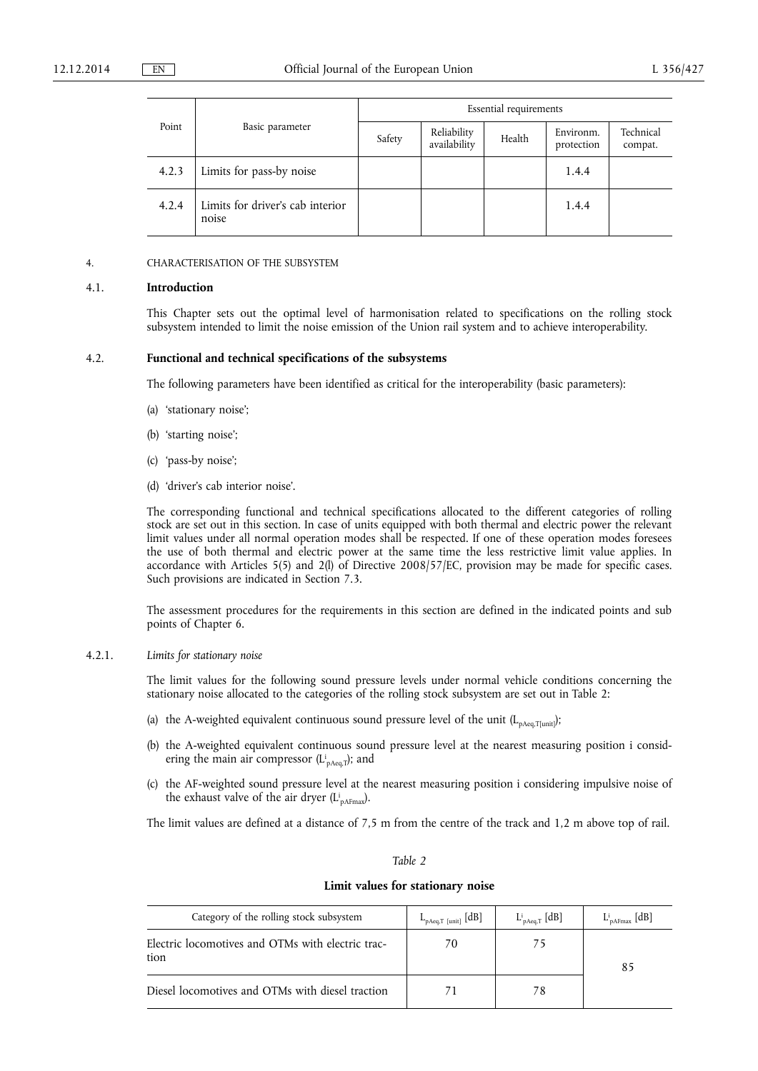|       | Basic parameter                           | Essential requirements |                             |        |                         |                      |  |
|-------|-------------------------------------------|------------------------|-----------------------------|--------|-------------------------|----------------------|--|
| Point |                                           | Safety                 | Reliability<br>availability | Health | Environm.<br>protection | Technical<br>compat. |  |
| 4.2.3 | Limits for pass-by noise                  |                        |                             |        | 1.4.4                   |                      |  |
| 4.2.4 | Limits for driver's cab interior<br>noise |                        |                             |        | 1.4.4                   |                      |  |

#### 4. CHARACTERISATION OF THE SUBSYSTEM

#### 4.1. **Introduction**

This Chapter sets out the optimal level of harmonisation related to specifications on the rolling stock subsystem intended to limit the noise emission of the Union rail system and to achieve interoperability.

#### 4.2. **Functional and technical specifications of the subsystems**

The following parameters have been identified as critical for the interoperability (basic parameters):

- (a) 'stationary noise';
- (b) 'starting noise';
- (c) 'pass-by noise';
- (d) 'driver's cab interior noise'.

The corresponding functional and technical specifications allocated to the different categories of rolling stock are set out in this section. In case of units equipped with both thermal and electric power the relevant limit values under all normal operation modes shall be respected. If one of these operation modes foresees the use of both thermal and electric power at the same time the less restrictive limit value applies. In accordance with Articles 5(5) and 2(l) of Directive 2008/57/EC, provision may be made for specific cases. Such provisions are indicated in Section 7.3.

The assessment procedures for the requirements in this section are defined in the indicated points and sub points of Chapter 6.

## 4.2.1. *Limits for stationary noise*

The limit values for the following sound pressure levels under normal vehicle conditions concerning the stationary noise allocated to the categories of the rolling stock subsystem are set out in Table 2:

- (a) the A-weighted equivalent continuous sound pressure level of the unit  $(L_{pAeq,T[unit]})$ ;
- (b) the A-weighted equivalent continuous sound pressure level at the nearest measuring position i considering the main air compressor ( $L^i_{\text{pAeq},T}$ ); and
- (c) the AF-weighted sound pressure level at the nearest measuring position i considering impulsive noise of the exhaust valve of the air dryer  $(L_{pAFmax}^i)$ .

The limit values are defined at a distance of 7,5 m from the centre of the track and 1,2 m above top of rail.

## *Table 2*

#### **Limit values for stationary noise**

| Category of the rolling stock subsystem                   | $L_{\text{pAeq},T~\text{[unit]}}~\text{[dB]}$ | $L^i_{pAeq,T}$ [dB] | $L_{pAFmax}^{i}$ [dB] |
|-----------------------------------------------------------|-----------------------------------------------|---------------------|-----------------------|
| Electric locomotives and OTMs with electric trac-<br>tion | 70                                            |                     | 85                    |
| Diesel locomotives and OTMs with diesel traction          |                                               |                     |                       |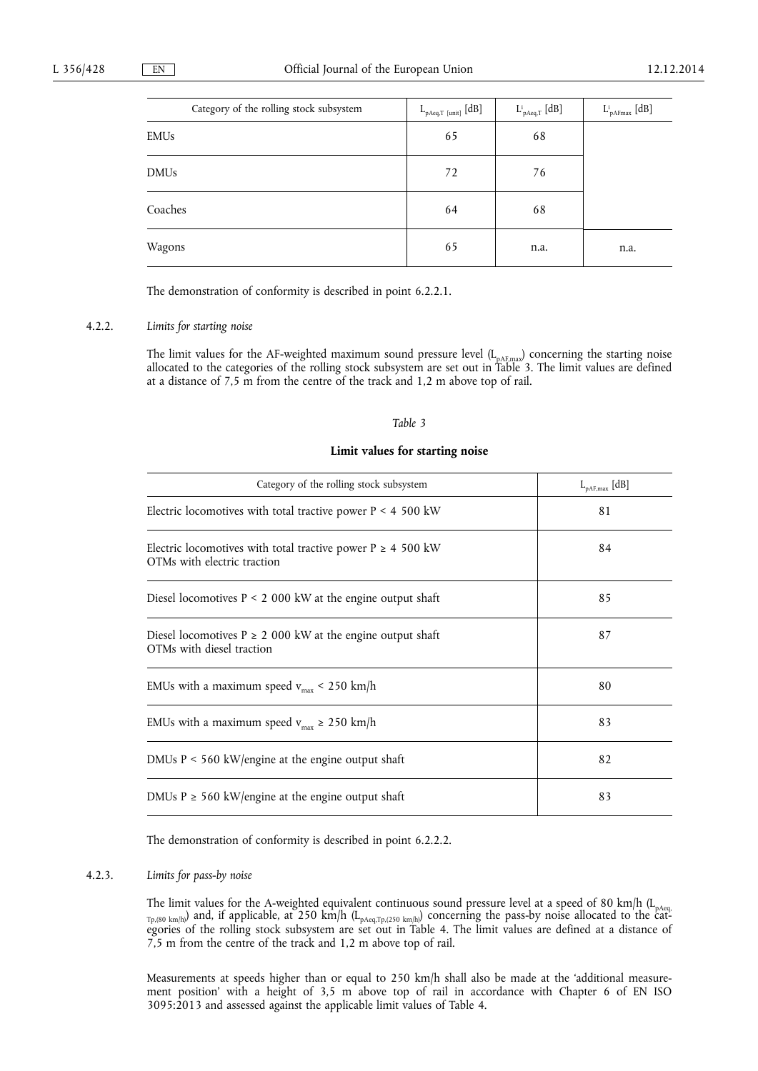| Category of the rolling stock subsystem | $\mathrel{{\mathcal L}}_{pAeq,T~[unit]} [\![dB]\!]$ | $\mathrm{L}^{\mathrm{i}}_{\mathrm{pAeq},\mathrm{T}}\;[\mathrm{dB}]$ | $L^i_{\text{pAFmax}} \; [dB]$ |
|-----------------------------------------|-----------------------------------------------------|---------------------------------------------------------------------|-------------------------------|
| EMUs                                    | 65                                                  | 68                                                                  |                               |
| DMUs                                    | 72                                                  | 76                                                                  |                               |
| Coaches                                 | 64                                                  | 68                                                                  |                               |
| Wagons                                  | 65                                                  | n.a.                                                                | n.a.                          |

The demonstration of conformity is described in point 6.2.2.1.

#### 4.2.2. *Limits for starting noise*

The limit values for the AF-weighted maximum sound pressure level  $(L_{pAF,max})$  concerning the starting noise allocated to the categories of the rolling stock subsystem are set out in Table 3. The limit values are defined at a distance of 7,5 m from the centre of the track and 1,2 m above top of rail.

#### *Table 3*

## **Limit values for starting noise**

| Category of the rolling stock subsystem                                                        | $L_{pAF,max}$ [dB] |
|------------------------------------------------------------------------------------------------|--------------------|
| Electric locomotives with total tractive power $P < 4$ 500 kW                                  | 81                 |
| Electric locomotives with total tractive power $P \ge 4$ 500 kW<br>OTMs with electric traction | 84                 |
| Diesel locomotives $P \le 2000$ kW at the engine output shaft                                  | 85                 |
| Diesel locomotives $P \ge 2000$ kW at the engine output shaft<br>OTMs with diesel traction     | 87                 |
| EMUs with a maximum speed $v_{\text{max}}$ < 250 km/h                                          | 80                 |
| EMUs with a maximum speed $v_{max} \ge 250$ km/h                                               | 83                 |
| DMUs $P < 560$ kW/engine at the engine output shaft                                            | 82                 |
| DMUs $P \ge 560$ kW/engine at the engine output shaft                                          | 83                 |

The demonstration of conformity is described in point 6.2.2.2.

#### 4.2.3. *Limits for pass-by noise*

The limit values for the A-weighted equivalent continuous sound pressure level at a speed of 80 km/h (L<sub>pAeq,</sub>  $_{\text{Tp},(80\text{ km/h})}$  and, if applicable, at 250 km/h (L<sub>pAeq,Tp,(250 km/h)</sub>) concerning the pass-by noise allocated to the categories of the rolling stock subsystem are set out in Table 4. The limit values are defined at a distance of 7,5 m from the centre of the track and 1,2 m above top of rail.

Measurements at speeds higher than or equal to 250 km/h shall also be made at the 'additional measurement position' with a height of 3,5 m above top of rail in accordance with Chapter 6 of EN ISO 3095:2013 and assessed against the applicable limit values of Table 4.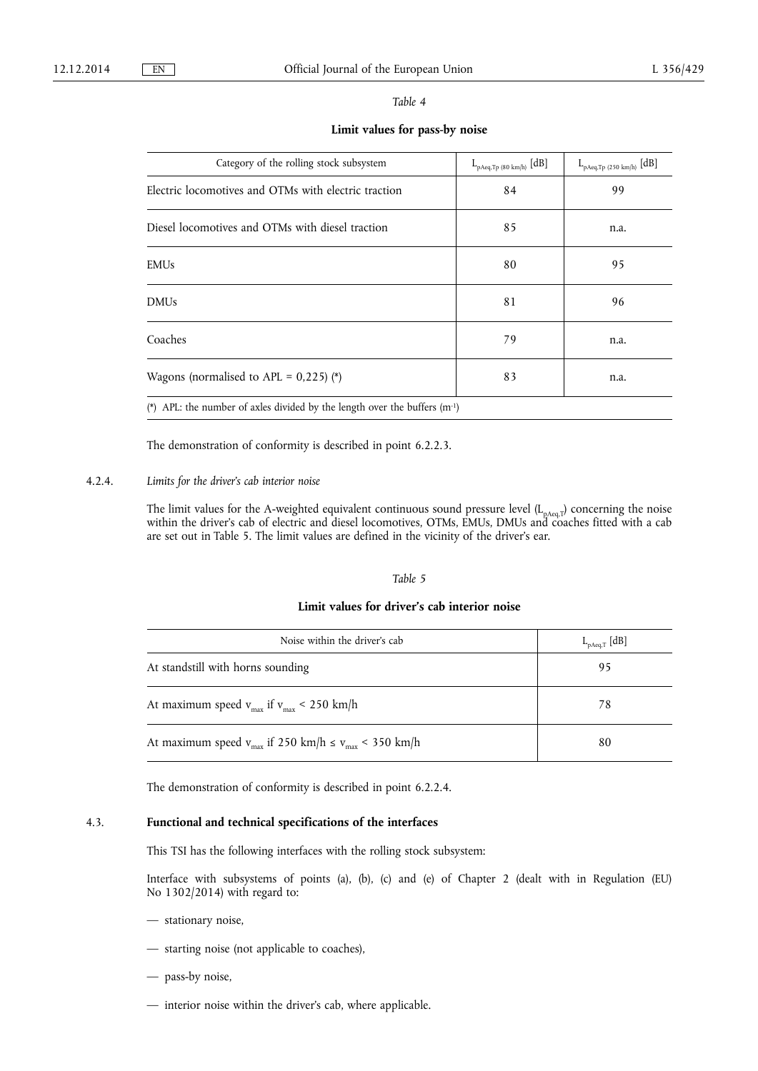| Table |  |
|-------|--|
|-------|--|

**Limit values for pass-by noise** 

| Category of the rolling stock subsystem                                        | $L_{pAeq,Tp (80 km/h)}$ [dB] | $L_{pAeq,Tp (250 km/h)}$ [dB] |
|--------------------------------------------------------------------------------|------------------------------|-------------------------------|
| Electric locomotives and OTMs with electric traction                           | 84                           | 99                            |
| Diesel locomotives and OTMs with diesel traction                               | 85                           | n.a.                          |
| <b>EMUs</b>                                                                    | 80                           | 95                            |
| <b>DMUs</b>                                                                    | 81                           | 96                            |
| Coaches                                                                        | 79                           | n.a.                          |
| Wagons (normalised to APL = $0,225$ ) (*)                                      | 83                           | n.a.                          |
| (*) APL: the number of axles divided by the length over the buffers $(m^{-1})$ |                              |                               |

The demonstration of conformity is described in point 6.2.2.3.

## 4.2.4. *Limits for the driver's cab interior noise*

The limit values for the A-weighted equivalent continuous sound pressure level (L<sub>pAeq,T</sub>) concerning the noise within the driver's cab of electric and diesel locomotives, OTMs, EMUs, DMUs and coaches fitted with a cab are set out in Table 5. The limit values are defined in the vicinity of the driver's ear.

#### *Table 5*

## **Limit values for driver's cab interior noise**

| Noise within the driver's cab                                   | $L_{pAeq,T}$ [dB] |
|-----------------------------------------------------------------|-------------------|
| At standstill with horns sounding                               | 95                |
| At maximum speed $v_{max}$ if $v_{max} < 250$ km/h              | 78                |
| At maximum speed $v_{max}$ if 250 km/h $\le v_{max}$ < 350 km/h | 80                |

The demonstration of conformity is described in point 6.2.2.4.

## 4.3. **Functional and technical specifications of the interfaces**

This TSI has the following interfaces with the rolling stock subsystem:

Interface with subsystems of points (a), (b), (c) and (e) of Chapter 2 (dealt with in Regulation (EU) No 1302/2014) with regard to:

- stationary noise,
- starting noise (not applicable to coaches),
- pass-by noise,
- interior noise within the driver's cab, where applicable.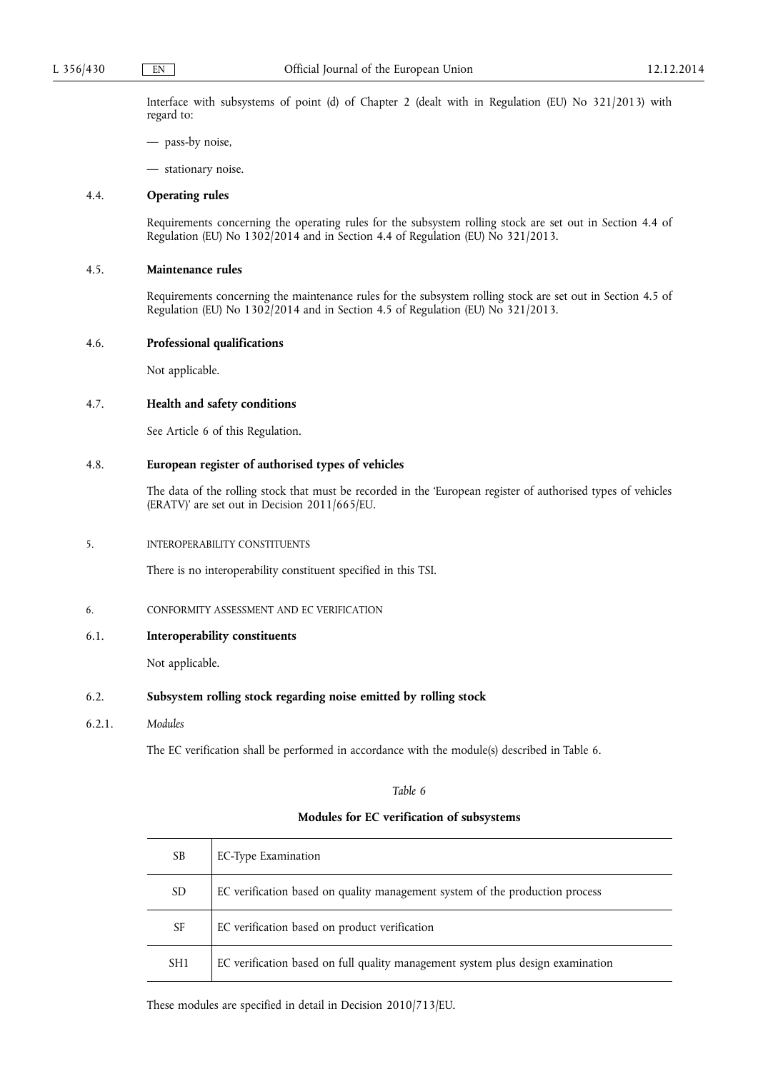Interface with subsystems of point (d) of Chapter 2 (dealt with in Regulation (EU) No 321/2013) with regard to:

- pass-by noise,
- stationary noise.

#### 4.4. **Operating rules**

Requirements concerning the operating rules for the subsystem rolling stock are set out in Section 4.4 of Regulation (EU) No 1302/2014 and in Section 4.4 of Regulation (EU) No 321/2013.

## 4.5. **Maintenance rules**

Requirements concerning the maintenance rules for the subsystem rolling stock are set out in Section 4.5 of Regulation (EU) No 1302/2014 and in Section 4.5 of Regulation (EU) No 321/2013.

#### 4.6. **Professional qualifications**

Not applicable.

## 4.7. **Health and safety conditions**

See Article 6 of this Regulation.

#### 4.8. **European register of authorised types of vehicles**

The data of the rolling stock that must be recorded in the 'European register of authorised types of vehicles (ERATV)' are set out in Decision 2011/665/EU.

#### 5. INTEROPERABILITY CONSTITUENTS

There is no interoperability constituent specified in this TSI.

6. CONFORMITY ASSESSMENT AND EC VERIFICATION

## 6.1. **Interoperability constituents**

Not applicable.

#### 6.2. **Subsystem rolling stock regarding noise emitted by rolling stock**

6.2.1. *Modules* 

The EC verification shall be performed in accordance with the module(s) described in Table 6.

*Table 6* 

## **Modules for EC verification of subsystems**

| SB              | EC-Type Examination                                                             |
|-----------------|---------------------------------------------------------------------------------|
| <b>SD</b>       | EC verification based on quality management system of the production process    |
| SF              | EC verification based on product verification                                   |
| SH <sub>1</sub> | EC verification based on full quality management system plus design examination |

These modules are specified in detail in Decision 2010/713/EU.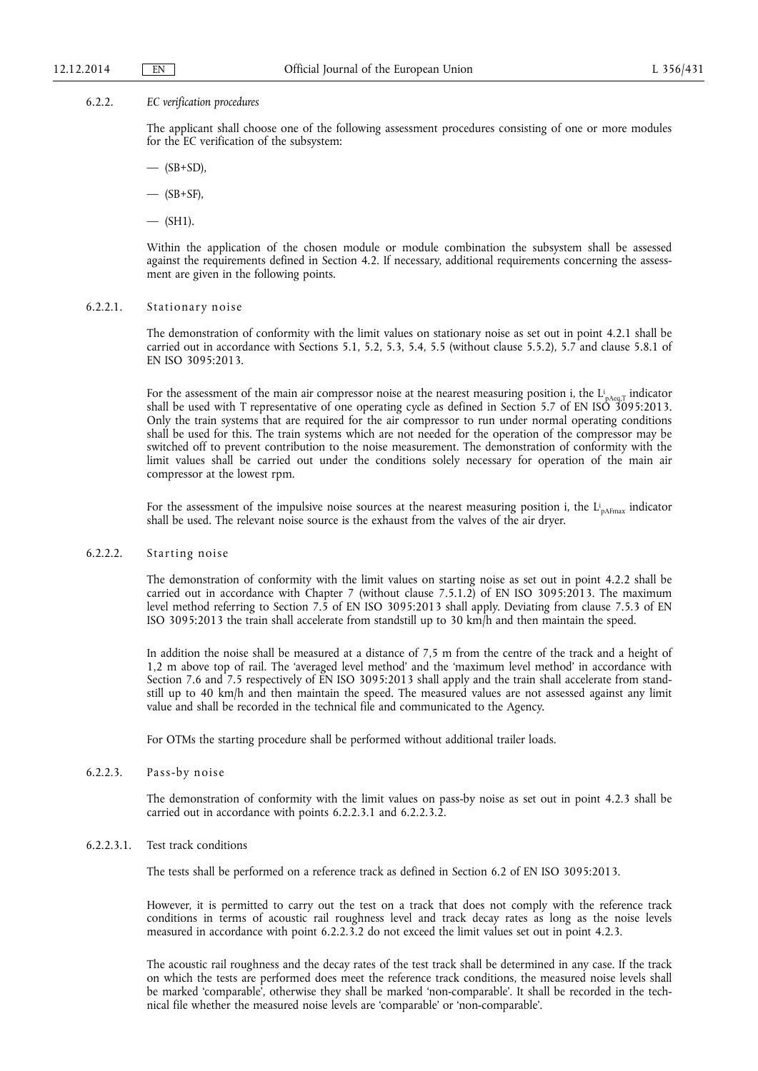#### 6.2.2. *EC verification procedures*

The applicant shall choose one of the following assessment procedures consisting of one or more modules for the EC verification of the subsystem:

 $-$  (SB+SD).

 $-$  (SB+SF),

 $-$  (SH1).

Within the application of the chosen module or module combination the subsystem shall be assessed against the requirements defined in Section 4.2. If necessary, additional requirements concerning the assessment are given in the following points.

#### 6.2.2.1. Stationary noise

The demonstration of conformity with the limit values on stationary noise as set out in point 4.2.1 shall be carried out in accordance with Sections 5.1, 5.2, 5.3, 5.4, 5.5 (without clause 5.5.2), 5.7 and clause 5.8.1 of EN ISO 3095:2013.

For the assessment of the main air compressor noise at the nearest measuring position i, the  $L_{pAeq,T}^i$  indicator shall be used with T representative of one operating cycle as defined in Section 5.7 of EN ISO 3095:2013. Only the train systems that are required for the air compressor to run under normal operating conditions shall be used for this. The train systems which are not needed for the operation of the compressor may be switched off to prevent contribution to the noise measurement. The demonstration of conformity with the limit values shall be carried out under the conditions solely necessary for operation of the main air compressor at the lowest rpm.

For the assessment of the impulsive noise sources at the nearest measuring position i, the  $L_{pA Fmax}$  indicator shall be used. The relevant noise source is the exhaust from the valves of the air dryer.

#### 6.2.2.2. Starting noise

The demonstration of conformity with the limit values on starting noise as set out in point 4.2.2 shall be carried out in accordance with Chapter 7 (without clause 7.5.1.2) of EN ISO 3095:2013. The maximum level method referring to Section 7.5 of EN ISO 3095:2013 shall apply. Deviating from clause 7.5.3 of EN ISO 3095:2013 the train shall accelerate from standstill up to 30 km/h and then maintain the speed.

In addition the noise shall be measured at a distance of 7,5 m from the centre of the track and a height of 1,2 m above top of rail. The 'averaged level method' and the 'maximum level method' in accordance with Section 7.6 and 7.5 respectively of EN ISO 3095:2013 shall apply and the train shall accelerate from standstill up to 40 km/h and then maintain the speed. The measured values are not assessed against any limit value and shall be recorded in the technical file and communicated to the Agency.

For OTMs the starting procedure shall be performed without additional trailer loads.

## 6.2.2.3. Pass-by noise

The demonstration of conformity with the limit values on pass-by noise as set out in point 4.2.3 shall be carried out in accordance with points 6.2.2.3.1 and 6.2.2.3.2.

#### 6.2.2.3.1. Test track conditions

The tests shall be performed on a reference track as defined in Section 6.2 of EN ISO 3095:2013.

However, it is permitted to carry out the test on a track that does not comply with the reference track conditions in terms of acoustic rail roughness level and track decay rates as long as the noise levels measured in accordance with point 6.2.2.3.2 do not exceed the limit values set out in point 4.2.3.

The acoustic rail roughness and the decay rates of the test track shall be determined in any case. If the track on which the tests are performed does meet the reference track conditions, the measured noise levels shall be marked 'comparable', otherwise they shall be marked 'non-comparable'. It shall be recorded in the technical file whether the measured noise levels are 'comparable' or 'non-comparable'.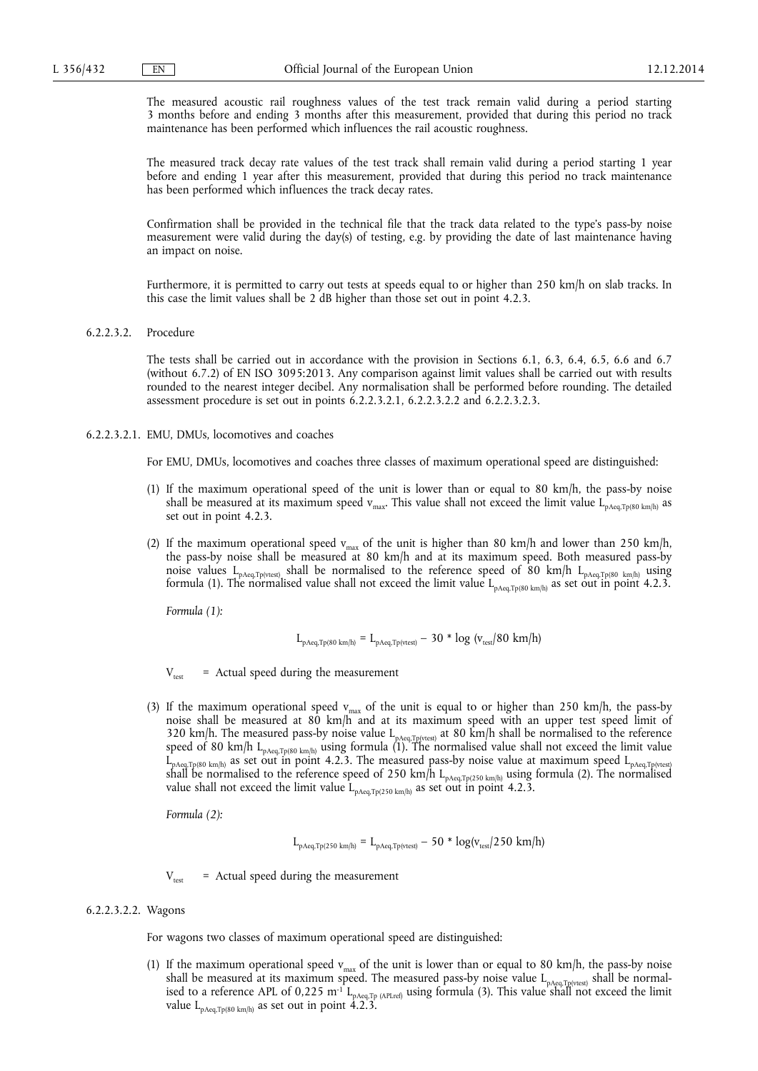The measured acoustic rail roughness values of the test track remain valid during a period starting 3 months before and ending 3 months after this measurement, provided that during this period no track maintenance has been performed which influences the rail acoustic roughness.

The measured track decay rate values of the test track shall remain valid during a period starting 1 year before and ending 1 year after this measurement, provided that during this period no track maintenance has been performed which influences the track decay rates.

Confirmation shall be provided in the technical file that the track data related to the type's pass-by noise measurement were valid during the day(s) of testing, e.g. by providing the date of last maintenance having an impact on noise.

Furthermore, it is permitted to carry out tests at speeds equal to or higher than 250 km/h on slab tracks. In this case the limit values shall be 2 dB higher than those set out in point 4.2.3.

#### 6.2.2.3.2. Procedure

The tests shall be carried out in accordance with the provision in Sections 6.1, 6.3, 6.4, 6.5, 6.6 and 6.7 (without 6.7.2) of EN ISO 3095:2013. Any comparison against limit values shall be carried out with results rounded to the nearest integer decibel. Any normalisation shall be performed before rounding. The detailed assessment procedure is set out in points 6.2.2.3.2.1, 6.2.2.3.2.2 and 6.2.2.3.2.3.

6.2.2.3.2.1. EMU, DMUs, locomotives and coaches

For EMU, DMUs, locomotives and coaches three classes of maximum operational speed are distinguished:

- (1) If the maximum operational speed of the unit is lower than or equal to 80 km/h, the pass-by noise shall be measured at its maximum speed  $v_{\text{max}}$ . This value shall not exceed the limit value L<sub>pAeq,Tp(80 km/h)</sub> as set out in point 4.2.3.
- (2) If the maximum operational speed  $v_{max}$  of the unit is higher than 80 km/h and lower than 250 km/h, the pass-by noise shall be measured at 80 km/h and at its maximum speed. Both measured pass-by noise values  $L_{pAeq,Tp(ttest)}$  shall be normalised to the reference speed of 80 km/h  $L_{pAeq,Tp(80 \text{ km/h})}$  using formula (1). The normalised value shall not exceed the limit value  $L_{pAeq,Tp(80 \text{ km/h})}$  as set out in point 4.2.3.

*Formula (1):* 

$$
L_{pAeq,Tp(80\ km/h)} = L_{pAeq,Tp(vtest)} - 30 * log\ (v_{test}/80\ km/h)
$$

 $V_{\text{test}}$  = Actual speed during the measurement

(3) If the maximum operational speed  $v_{\text{max}}$  of the unit is equal to or higher than 250 km/h, the pass-by noise shall be measured at 80 km/h and at its maximum speed with an upper test speed limit of 320 km/h. The measured pass-by noise value  $L_{pAeq,Typ(rest)}$  at 80 km/h shall be normalised to the reference speed of 80 km/h L<sub>pAeq,Tp(80 km/h)</sub> using formula (1). The normalised value shall not exceed the limit value  $L_{pAeq,Tp(80\text{ km/h})}$  as set out in point 4.2.3. The measured pass-by noise value at maximum speed  $L_{pAeq,Tp(vtest)}$ shall be normalised to the reference speed of 250 km/h  $L_{pAeq,Tp(250\ km/h)}$  using formula (2). The normalised value shall not exceed the limit value  $L_{pAeq,Tp(250 \text{ km/h})}$  as set out in point 4.2.3.

*Formula (2):* 

$$
L_{\text{pAeq},\text{Tp(250 km/h)}} = L_{\text{pAeq},\text{Tp(vtest)}} - 50 * \log(v_{\text{test}}/250 \text{ km/h})
$$

 $V_{\text{test}}$  = Actual speed during the measurement

#### 6.2.2.3.2.2. Wagons

For wagons two classes of maximum operational speed are distinguished:

(1) If the maximum operational speed  $v_{max}$  of the unit is lower than or equal to 80 km/h, the pass-by noise shall be measured at its maximum speed. The measured pass-by noise value  $\rm L_{pAeq,Tp(vtest)}$  shall be normalised to a reference APL of 0,225 m<sup>-1</sup> L<sub>pAeq.Tp (APLref)</sub> using formula (3). This value shall not exceed the limit value  $L_{pAeq,Tp(80 \text{ km/h})}$  as set out in point 4.2.3.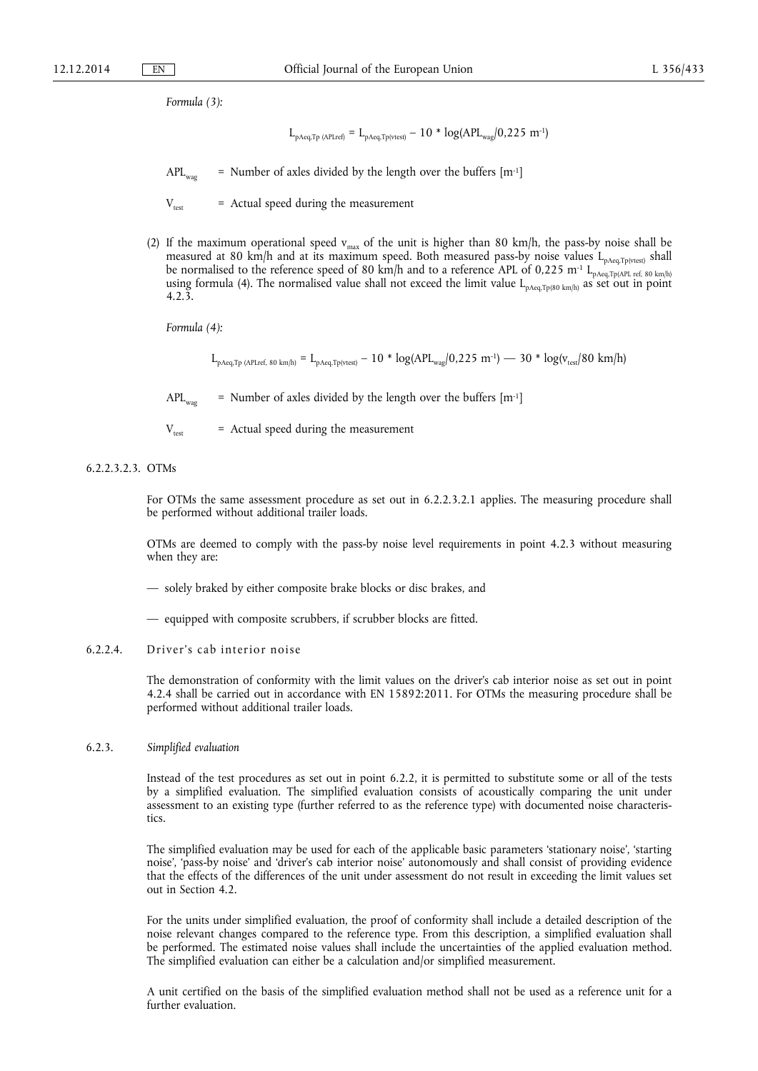*Formula (3):* 

$$
L_{pAeq,Tp\;(APLref)} = L_{pAeq,Tp(vtest)} - 10 * log(APL_{wag}/0,225\ m^{-1})
$$

 $APL_{w30}$  = Number of axles divided by the length over the buffers  $[m^{-1}]$ 

 $V_{\text{tot}}$  = Actual speed during the measurement

(2) If the maximum operational speed  $v_{max}$  of the unit is higher than 80 km/h, the pass-by noise shall be measured at 80 km/h and at its maximum speed. Both measured pass-by noise values  $L_{pAeq, Tp(rtest)}$  shall be normalised to the reference speed of 80 km/h and to a reference APL of 0,225 m<sup>-1</sup> L<sub>pAeq,Tp(APL ref, 80 km/h)</sub> using formula (4). The normalised value shall not exceed the limit value  $L_{pAeq,Tp(80 \text{ km/h})}$  as set out in point 4.2.3.

*Formula (4):* 

 $L_{\text{pAeq},Tp\text{ (APLref, 80 km/h)}} = L_{\text{pAeq},Tp\text{(vtest)}} - 10 * \log(\text{APL}_{\text{wag}}/0,225 \text{ m}^{-1}) - 30 * \log(\text{v}_\text{test}/80 \text{ km/h})$ 

 $APL_{wca}$  = Number of axles divided by the length over the buffers  $[m^{-1}]$ 

 $V_{\text{test}}$  = Actual speed during the measurement

## 6.2.2.3.2.3. OTMs

For OTMs the same assessment procedure as set out in 6.2.2.3.2.1 applies. The measuring procedure shall be performed without additional trailer loads.

OTMs are deemed to comply with the pass-by noise level requirements in point 4.2.3 without measuring when they are:

- solely braked by either composite brake blocks or disc brakes, and
- equipped with composite scrubbers, if scrubber blocks are fitted.
- 6.2.2.4. Driver's cab interior noise

The demonstration of conformity with the limit values on the driver's cab interior noise as set out in point 4.2.4 shall be carried out in accordance with EN 15892:2011. For OTMs the measuring procedure shall be performed without additional trailer loads.

6.2.3. *Simplified evaluation* 

Instead of the test procedures as set out in point 6.2.2, it is permitted to substitute some or all of the tests by a simplified evaluation. The simplified evaluation consists of acoustically comparing the unit under assessment to an existing type (further referred to as the reference type) with documented noise characteristics.

The simplified evaluation may be used for each of the applicable basic parameters 'stationary noise', 'starting noise', 'pass-by noise' and 'driver's cab interior noise' autonomously and shall consist of providing evidence that the effects of the differences of the unit under assessment do not result in exceeding the limit values set out in Section 4.2.

For the units under simplified evaluation, the proof of conformity shall include a detailed description of the noise relevant changes compared to the reference type. From this description, a simplified evaluation shall be performed. The estimated noise values shall include the uncertainties of the applied evaluation method. The simplified evaluation can either be a calculation and/or simplified measurement.

A unit certified on the basis of the simplified evaluation method shall not be used as a reference unit for a further evaluation.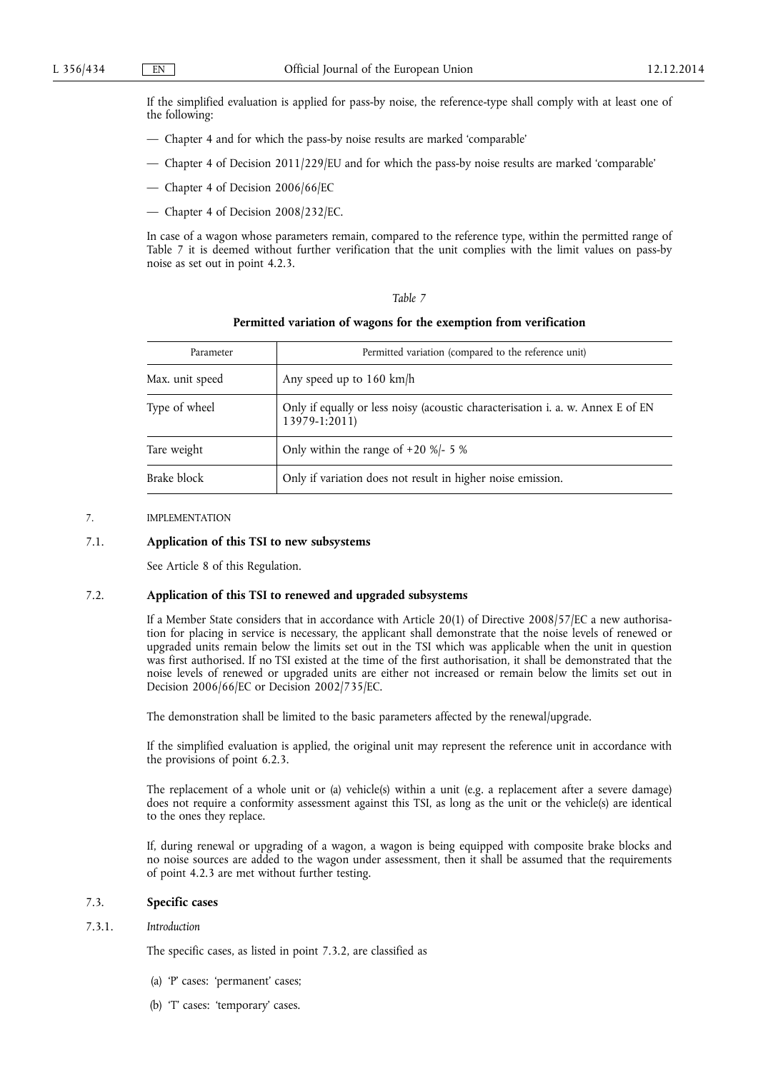If the simplified evaluation is applied for pass-by noise, the reference-type shall comply with at least one of the following:

- Chapter 4 and for which the pass-by noise results are marked 'comparable'
- Chapter 4 of Decision 2011/229/EU and for which the pass-by noise results are marked 'comparable'
- Chapter 4 of Decision 2006/66/EC
- Chapter 4 of Decision 2008/232/EC.

In case of a wagon whose parameters remain, compared to the reference type, within the permitted range of Table 7 it is deemed without further verification that the unit complies with the limit values on pass-by noise as set out in point 4.2.3.

## *Table 7*

#### **Permitted variation of wagons for the exemption from verification**

| Parameter       | Permitted variation (compared to the reference unit)                                             |
|-----------------|--------------------------------------------------------------------------------------------------|
| Max. unit speed | Any speed up to 160 km/h                                                                         |
| Type of wheel   | Only if equally or less noisy (acoustic characterisation i. a. w. Annex E of EN<br>13979-1:2011) |
| Tare weight     | Only within the range of $+20$ %/- 5 %                                                           |
| Brake block     | Only if variation does not result in higher noise emission.                                      |

#### 7. IMPLEMENTATION

## 7.1. **Application of this TSI to new subsystems**

See Article 8 of this Regulation.

#### 7.2. **Application of this TSI to renewed and upgraded subsystems**

If a Member State considers that in accordance with Article 20(1) of Directive 2008/57/EC a new authorisation for placing in service is necessary, the applicant shall demonstrate that the noise levels of renewed or upgraded units remain below the limits set out in the TSI which was applicable when the unit in question was first authorised. If no TSI existed at the time of the first authorisation, it shall be demonstrated that the noise levels of renewed or upgraded units are either not increased or remain below the limits set out in Decision 2006/66/EC or Decision 2002/735/EC.

The demonstration shall be limited to the basic parameters affected by the renewal/upgrade.

If the simplified evaluation is applied, the original unit may represent the reference unit in accordance with the provisions of point 6.2.3.

The replacement of a whole unit or (a) vehicle(s) within a unit (e.g. a replacement after a severe damage) does not require a conformity assessment against this TSI, as long as the unit or the vehicle(s) are identical to the ones they replace.

If, during renewal or upgrading of a wagon, a wagon is being equipped with composite brake blocks and no noise sources are added to the wagon under assessment, then it shall be assumed that the requirements of point 4.2.3 are met without further testing.

## 7.3. **Specific cases**

#### 7.3.1. *Introduction*

The specific cases, as listed in point 7.3.2, are classified as

- (a) 'P' cases: 'permanent' cases;
- (b) 'T' cases: 'temporary' cases.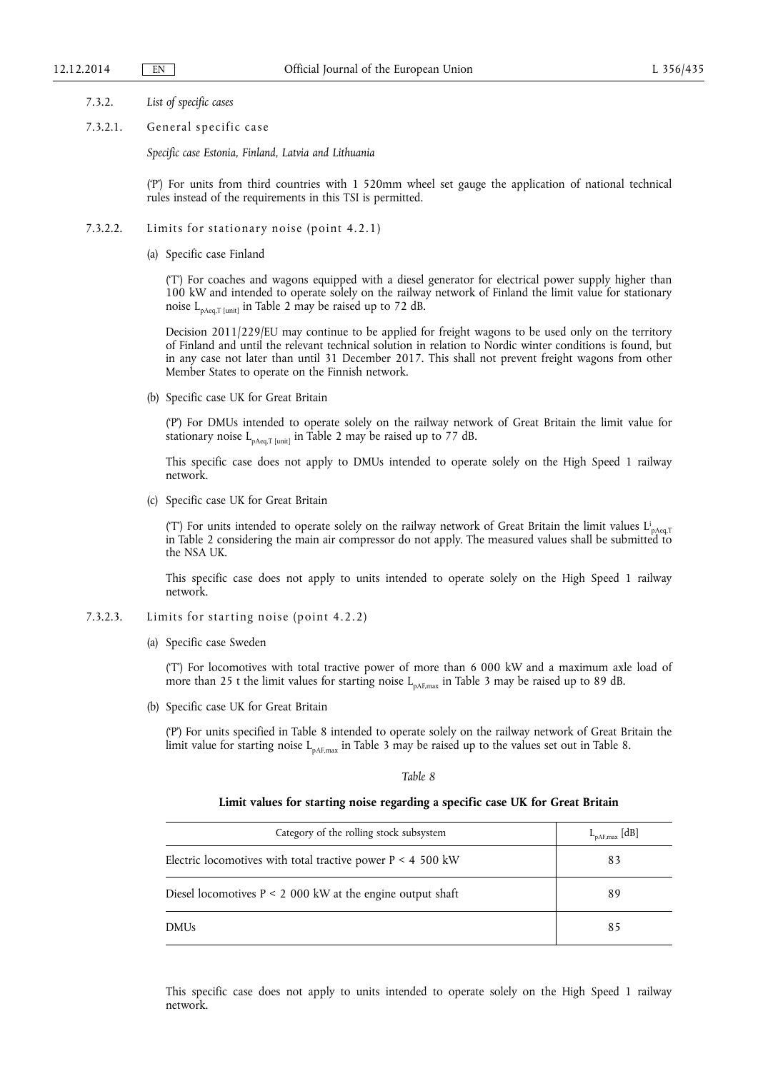- 7.3.2. *List of specific cases*
- 7.3.2.1. General specific case

*Specific case Estonia, Finland, Latvia and Lithuania* 

('P') For units from third countries with 1 520mm wheel set gauge the application of national technical rules instead of the requirements in this TSI is permitted.

- 7.3.2.2. Limits for stationary noise (point 4.2.1)
	- (a) Specific case Finland

('T') For coaches and wagons equipped with a diesel generator for electrical power supply higher than 100 kW and intended to operate solely on the railway network of Finland the limit value for stationary noise LpAeq,T [unit] in Table 2 may be raised up to 72 dB.

Decision 2011/229/EU may continue to be applied for freight wagons to be used only on the territory of Finland and until the relevant technical solution in relation to Nordic winter conditions is found, but in any case not later than until 31 December 2017. This shall not prevent freight wagons from other Member States to operate on the Finnish network.

(b) Specific case UK for Great Britain

('P') For DMUs intended to operate solely on the railway network of Great Britain the limit value for stationary noise  $L_{pAeq,T [unit]}$  in Table 2 may be raised up to 77 dB.

This specific case does not apply to DMUs intended to operate solely on the High Speed 1 railway network.

(c) Specific case UK for Great Britain

(T) For units intended to operate solely on the railway network of Great Britain the limit values  $L_{\text{pAeq,T}}$ in Table 2 considering the main air compressor do not apply. The measured values shall be submitted to the NSA UK.

This specific case does not apply to units intended to operate solely on the High Speed 1 railway network.

- 7.3.2.3. Limits for starting noise (point 4.2.2)
	- (a) Specific case Sweden

('T') For locomotives with total tractive power of more than 6 000 kW and a maximum axle load of more than 25 t the limit values for starting noise  $L_{pAF,max}$  in Table 3 may be raised up to 89 dB.

(b) Specific case UK for Great Britain

('P') For units specified in Table 8 intended to operate solely on the railway network of Great Britain the limit value for starting noise  $L_{pAF,max}$  in Table 3 may be raised up to the values set out in Table 8.

#### *Table 8*

## **Limit values for starting noise regarding a specific case UK for Great Britain**

| Category of the rolling stock subsystem                       | $L_{\text{pAF,max}}$ [dB] |
|---------------------------------------------------------------|---------------------------|
| Electric locomotives with total tractive power $P < 4$ 500 kW | 83                        |
| Diesel locomotives $P \le 2000$ kW at the engine output shaft | 89                        |
| <b>DMUs</b>                                                   | 85                        |

This specific case does not apply to units intended to operate solely on the High Speed 1 railway network.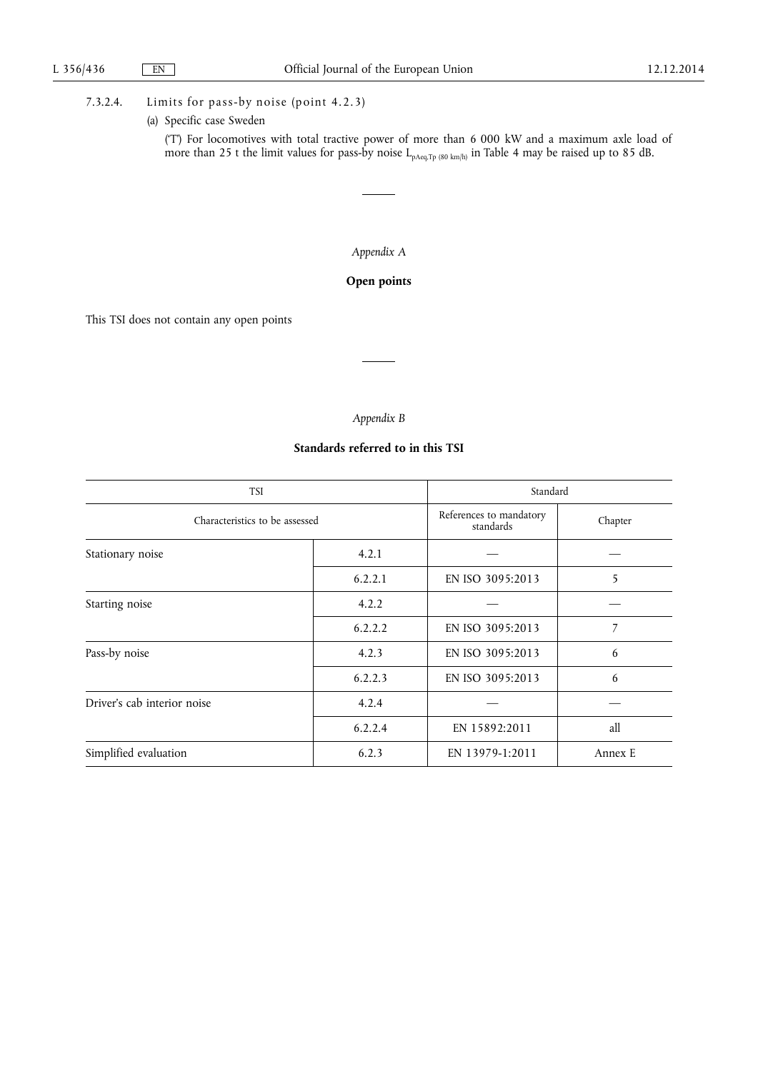## 7.3.2.4. Limits for pass-by noise (point 4.2.3)

(a) Specific case Sweden

('T') For locomotives with total tractive power of more than 6 000 kW and a maximum axle load of more than 25 t the limit values for pass-by noise  $\rm L_{pAeq,Tp\ (80\ km/h)}$  in Table 4 may be raised up to 85 dB.

## *Appendix A*

## **Open points**

This TSI does not contain any open points

## *Appendix B*

## **Standards referred to in this TSI**

| <b>TSI</b>                     | Standard |                                      |         |  |
|--------------------------------|----------|--------------------------------------|---------|--|
| Characteristics to be assessed |          | References to mandatory<br>standards | Chapter |  |
| Stationary noise               | 4.2.1    |                                      |         |  |
|                                | 6.2.2.1  | EN ISO 3095:2013                     | 5       |  |
| Starting noise                 | 4.2.2    |                                      |         |  |
|                                | 6.2.2.2  | EN ISO 3095:2013                     | 7       |  |
| Pass-by noise                  | 4.2.3    | EN ISO 3095:2013                     | 6       |  |
|                                | 6.2.2.3  | EN ISO 3095:2013                     | 6       |  |
| Driver's cab interior noise    | 4.2.4    |                                      |         |  |
|                                | 6.2.2.4  | EN 15892:2011                        | all     |  |
| Simplified evaluation          | 6.2.3    | EN 13979-1:2011                      | Annex E |  |